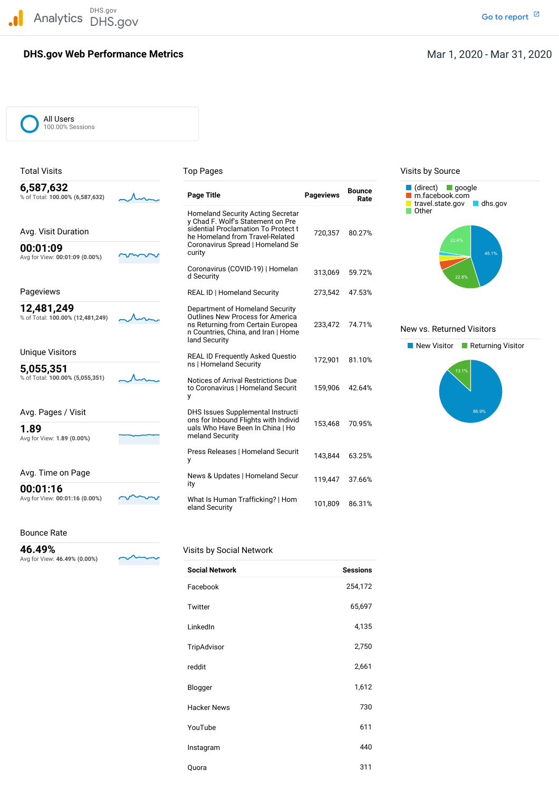DHS.gov Analytics DHS.gov and the contract of the contract of the contract of the contract of the contract of the contract of the contract of the contract of the contract of the contract of the contract of the contract of the cont

# **DHS.gov Web Performance Metrics**

### Mar 1, 2020 - Mar 31, 2020

| All Users        |
|------------------|
| 100.00% Sessions |

| <b>Total Visits</b>                            | <b>Top Pages</b>                                                                                                                                                                                      |                  |                       | Visits by Source                                                               |
|------------------------------------------------|-------------------------------------------------------------------------------------------------------------------------------------------------------------------------------------------------------|------------------|-----------------------|--------------------------------------------------------------------------------|
| 6,587,632<br>% of Total: 100.00% (6,587,632)   | <b>Page Title</b>                                                                                                                                                                                     | <b>Pageviews</b> | <b>Bounce</b><br>Rate | $\blacksquare$ (direct)<br>$\Box$ google<br>m.facebook.com<br>travel.state.gov |
| Avg. Visit Duration<br>00:01:09                | <b>Homeland Security Acting Secretar</b><br>y Chad F. Wolf's Statement on Pre<br>sidential Proclamation To Protect t<br>he Homeland from Travel-Related<br>Coronavirus Spread   Homeland Se<br>curity | 720,357          | 80.27%                | Other<br>22.4%                                                                 |
| Avg for View: 00:01:09 (0.00%)                 | Coronavirus (COVID-19)   Homelan<br>d Security                                                                                                                                                        | 313,069          | 59.72%                | 22.8%                                                                          |
| Pageviews                                      | REAL ID   Homeland Security                                                                                                                                                                           | 273,542          | 47.53%                |                                                                                |
| 12,481,249<br>% of Total: 100.00% (12,481,249) | Department of Homeland Security<br><b>Outlines New Process for America</b><br>ns Returning from Certain Europea<br>n Countries, China, and Iran   Home<br>land Security                               | 233.472          | 74.71%                | New vs. Returned Vis                                                           |
| <b>Unique Visitors</b>                         | <b>REAL ID Frequently Asked Questio</b>                                                                                                                                                               |                  |                       | New Visitor<br>⊟ Re                                                            |
| 5,055,351                                      | ns   Homeland Security                                                                                                                                                                                | 172,901          | 81.10%                | 13.1%                                                                          |
| % of Total: 100.00% (5,055,351)                | Notices of Arrival Restrictions Due<br>to Coronavirus   Homeland Securit<br>у                                                                                                                         | 159,906          | 42.64%                |                                                                                |
| Avg. Pages / Visit                             | DHS Issues Supplemental Instructi<br>ons for Inbound Flights with Individ                                                                                                                             |                  |                       |                                                                                |
| 1.89<br>Avg for View: 1.89 (0.00%)             | uals Who Have Been In China   Ho<br>meland Security                                                                                                                                                   | 153,468          | 70.95%                |                                                                                |
|                                                | Press Releases   Homeland Securit<br>y                                                                                                                                                                | 143.844          | 63.25%                |                                                                                |
| Avg. Time on Page                              | News & Updates   Homeland Secur<br>ity                                                                                                                                                                | 119,447          | 37.66%                |                                                                                |
| 00:01:16<br>Avg for View: 00:01:16 (0.00%)     | What Is Human Trafficking?   Hom<br>eland Security                                                                                                                                                    | 101,809          | 86.31%                |                                                                                |



#### New vs. Returned Visitors



Bounce Rate

 Avg for View: **46.49% (0.00%) 46.49%** Visits by Social Network

| <b>Social Network</b> | <b>Sessions</b> |
|-----------------------|-----------------|
| Facebook              | 254,172         |
| Twitter               | 65,697          |
| LinkedIn              | 4,135           |
| TripAdvisor           | 2,750           |
| reddit                | 2,661           |
| Blogger               | 1,612           |
| <b>Hacker News</b>    | 730             |
| YouTube               | 611             |
| Instagram             | 440             |
| Quora                 | 311             |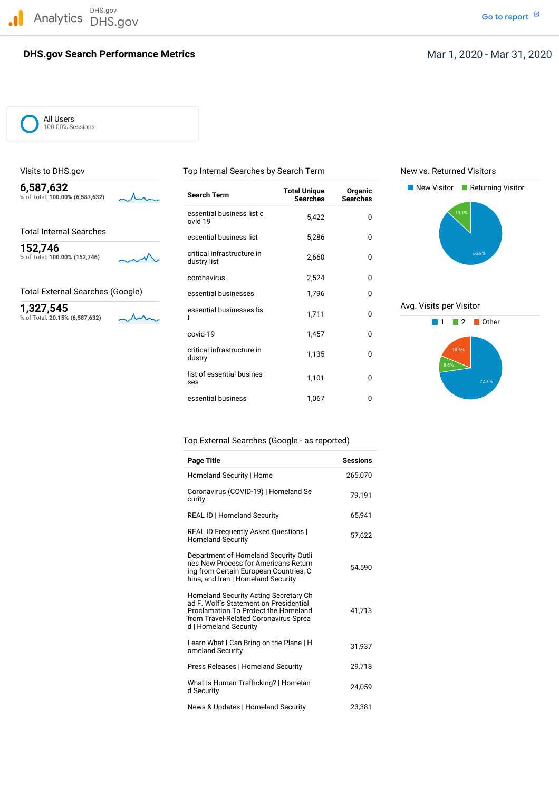

### **DHS.gov Search Performance Metrics**

Go to report<sup>[2]</sup>

All Users 100.00% Sessions

Visits to DHS.gov Top Internal Searches by Search Term New vs. Returned Visitors

% of Total: 100.00% (6,587,632)

Total Internal Searches

% of Total: 100.00% (152,746)



% of Total: 20.15% (6,587,632)

 essential business list <sup>c</sup> 5,422 <sup>0</sup> ovid <sup>19</sup> essential business list 5,286 0 list of essential busines 1,101 <sup>0</sup> ses **6,587,632** New Visitor Returning Visitor **Total Unique Organic** % of Total: **100.00% (6,587,632) Search Term Searches Searches 152,746** critical infrastructure in 2,660 0 0 dustry list 2,660 0 0 0 dustry list coronavirus 2,524 0 Total External Searches (Google) essential businesses 1,796 0 **1,327,545** essential businesses lis 1,711 0 Avg. Visits per Visitor<br>
<sup>∞</sup> 1 1 2 Other t 1,711 0 1 2 Other covid-19 1,457 0 critical infrastructure in 1,135 <sup>0</sup> dustry essential business 1,067 0





#### Top External Searches (Google - as reported)

| <b>Page Title</b>                                                                                                                                                                                | <b>Sessions</b> |
|--------------------------------------------------------------------------------------------------------------------------------------------------------------------------------------------------|-----------------|
| Homeland Security   Home                                                                                                                                                                         | 265,070         |
| Coronavirus (COVID-19)   Homeland Se<br>curity                                                                                                                                                   | 79,191          |
| REAL ID   Homeland Security                                                                                                                                                                      | 65.941          |
| REAL ID Frequently Asked Questions  <br><b>Homeland Security</b>                                                                                                                                 | 57,622          |
| Department of Homeland Security Outli<br>nes New Process for Americans Return<br>ing from Certain European Countries, C<br>hina, and Iran   Homeland Security                                    | 54,590          |
| <b>Homeland Security Acting Secretary Ch</b><br>ad F. Wolf's Statement on Presidential<br>Proclamation To Protect the Homeland<br>from Travel-Related Coronavirus Sprea<br>d   Homeland Security | 41,713          |
| Learn What I Can Bring on the Plane   H<br>omeland Security                                                                                                                                      | 31,937          |
| Press Releases   Homeland Security                                                                                                                                                               | 29,718          |
| What Is Human Trafficking?   Homelan<br>d Security                                                                                                                                               | 24,059          |
| News & Updates   Homeland Security                                                                                                                                                               | 23,381          |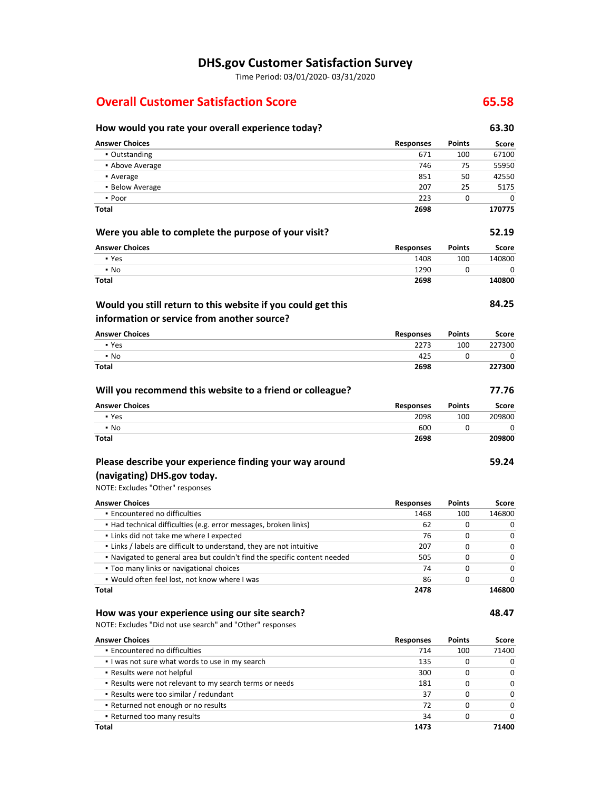# **DHS.gov Customer Satisfaction Survey**

Time Period: 03/01/2020‐ 03/31/2020

# **Overall Customer Satisfaction Score 65.58**

#### **Will you recommend this website to a friend or colleague? 77.76 Encountered no difficulties**  ▪ Would often feel lost, not know where I was NOTE: Excludes "Did not use search" and "Other" responses  **Would you still return to this website if you could get this (navigating) DHS.gov today. How would you rate your overall experience today? 63.30 Answer Choices** ▪ Outstanding **• Above Average** ▪ Average **• Below Average** ▪ Poor **Total Responses** 671 746 851 207 223 **2698 Points** 100 75 50 25 0 **Score** 67100 55950 42550 5175 0 **170775 Were you able to complete the purpose of your visit? 52.19 Answer Choices** ▪ Yes ▪ No **Total Responses** 1408 1290 **2698 Points** 100 0 **Score** 140800  $\Omega$ **140800 information or service from another source? 84.25 Answer Choices** ▪ Yes ▪ No **Total Responses** 2273 425 **2698 Points** 100 0 **Score** 227300 0 **227300 Answer Choices** ▪ Yes ▪ No **Total Responses** 2098 600 **2698 Points** 100 0 **Score** 209800  $\overline{0}$ **209800 Please describe your experience finding your way around**  NOTE: Excludes "Other" responses **59.24 Answer Choices** ▪ Had technical difficulties (e.g. error messages, broken links) ▪ Links did not take me where I expected ▪ Links / labels are difficult to understand, they are not intuitive ▪ Navigated to general area but couldn't find the specific content needed **• Too many links or navigational choices Total Responses** 1468 62 76 207 505 74 86 **2478 Points** 100 0 0  $\Omega$ 0 0 0 **Score** 146800 0 0 0 0  $\Omega$ 0 **146800 How was your experience using our site search? 48.47 Answer Choices Responses Points Score**

| • Encountered no difficulties<br>714<br>100<br>I was not sure what words to use in my search<br>135<br>0<br>• Results were not helpful<br>300<br>0<br>. Results were not relevant to my search terms or needs<br>181<br>0<br>• Results were too similar / redundant<br>37<br>0<br>• Returned not enough or no results<br>72<br>0<br>• Returned too many results<br>34 | score    | POINTS | <b>Responses</b> | <b>Answer Choices</b> |
|-----------------------------------------------------------------------------------------------------------------------------------------------------------------------------------------------------------------------------------------------------------------------------------------------------------------------------------------------------------------------|----------|--------|------------------|-----------------------|
|                                                                                                                                                                                                                                                                                                                                                                       | 71400    |        |                  |                       |
|                                                                                                                                                                                                                                                                                                                                                                       | $\Omega$ |        |                  |                       |
|                                                                                                                                                                                                                                                                                                                                                                       | $\Omega$ |        |                  |                       |
|                                                                                                                                                                                                                                                                                                                                                                       | 0        |        |                  |                       |
|                                                                                                                                                                                                                                                                                                                                                                       | 0        |        |                  |                       |
|                                                                                                                                                                                                                                                                                                                                                                       | 0        |        |                  |                       |
|                                                                                                                                                                                                                                                                                                                                                                       | O        |        |                  |                       |
| Total<br>1473                                                                                                                                                                                                                                                                                                                                                         | 71400    |        |                  |                       |